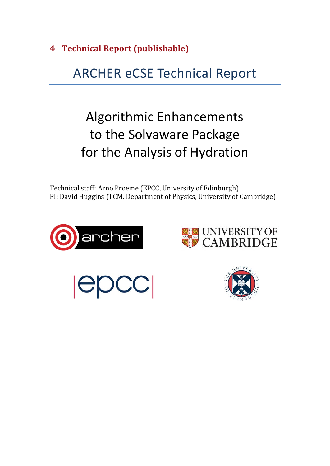**4 Technical Report (publishable)**

# **ARCHER eCSE Technical Report**

# Algorithmic Enhancements to the Solvaware Package for the Analysis of Hydration

Technical staff: Arno Proeme (EPCC, University of Edinburgh) PI: David Huggins (TCM, Department of Physics, University of Cambridge)







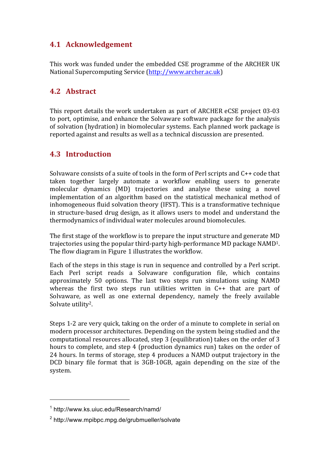# **4.1 Acknowledgement**

This work was funded under the embedded CSE programme of the ARCHER UK National Supercomputing Service (http://www.archer.ac.uk)

# **4.2 Abstract**

This report details the work undertaken as part of ARCHER eCSE project 03-03 to port, optimise, and enhance the Solvaware software package for the analysis of solvation (hydration) in biomolecular systems. Each planned work package is reported against and results as well as a technical discussion are presented.

# **4.3 Introduction**

Solvaware consists of a suite of tools in the form of Perl scripts and  $C_{++}$  code that taken together largely automate a workflow enabling users to generate molecular dynamics (MD) trajectories and analyse these using a novel implementation of an algorithm based on the statistical mechanical method of inhomogeneous fluid solvation theory (IFST). This is a transformative technique in structure-based drug design, as it allows users to model and understand the thermodynamics of individual water molecules around biomolecules.

The first stage of the workflow is to prepare the input structure and generate MD trajectories using the popular third-party high-performance  $MD$  package  $NAMD<sup>1</sup>$ . The flow diagram in Figure 1 illustrates the workflow.

Each of the steps in this stage is run in sequence and controlled by a Perl script. Each Perl script reads a Solvaware configuration file, which contains approximately 50 options. The last two steps run simulations using NAMD whereas the first two steps run utilities written in  $C_{++}$  that are part of Solvaware, as well as one external dependency, namely the freely available Solvate utility<sup>2</sup>.

Steps 1-2 are very quick, taking on the order of a minute to complete in serial on modern processor architectures. Depending on the system being studied and the computational resources allocated, step 3 (equilibration) takes on the order of 3 hours to complete, and step 4 (production dynamics run) takes on the order of 24 hours. In terms of storage, step 4 produces a NAMD output trajectory in the DCD binary file format that is 3GB-10GB, again depending on the size of the system.

 

<sup>1</sup> http://www.ks.uiuc.edu/Research/namd/

<sup>2</sup> http://www.mpibpc.mpg.de/grubmueller/solvate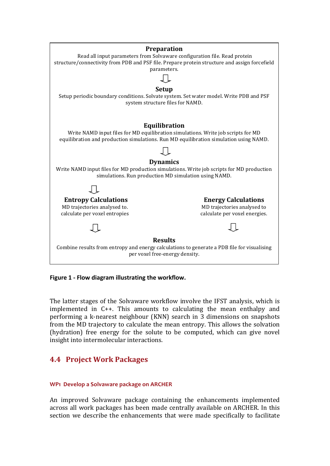

Figure 1 - Flow diagram illustrating the workflow.

The latter stages of the Solvaware workflow involve the IFST analysis, which is implemented in  $C_{++}$ . This amounts to calculating the mean enthalpy and performing a k-nearest neighbour (KNN) search in 3 dimensions on snapshots from the MD trajectory to calculate the mean entropy. This allows the solvation (hydration) free energy for the solute to be computed, which can give novel insight into intermolecular interactions.

# **4.4 Project Work Packages**

## WP1 Develop a Solvaware package on ARCHER

An improved Solvaware package containing the enhancements implemented across all work packages has been made centrally available on ARCHER. In this section we describe the enhancements that were made specifically to facilitate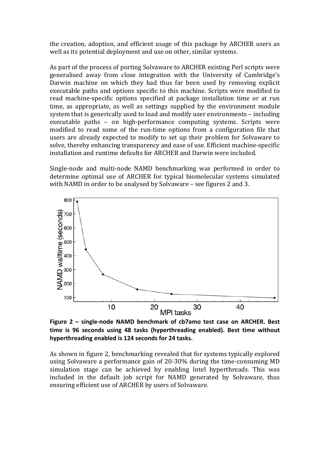the creation, adoption, and efficient usage of this package by ARCHER users as well as its potential deployment and use on other, similar systems.

As part of the process of porting Solvaware to ARCHER existing Perl scripts were generalised away from close integration with the University of Cambridge's Darwin machine on which they had thus far been used by removing explicit executable paths and options specific to this machine. Scripts were modified to read machine-specific options specified at package installation time or at run time, as appropriate, as well as settings supplied by the environment module system that is generically used to load and modify user environments  $-$  including executable paths – on high-performance computing systems. Scripts were modified to read some of the run-time options from a configuration file that users are already expected to modify to set up their problem for Solvaware to solve, thereby enhancing transparency and ease of use. Efficient machine-specific installation and runtime defaults for ARCHER and Darwin were included.

Single-node and multi-node NAMD benchmarking was performed in order to determine optimal use of ARCHER for typical biomolecular systems simulated with NAMD in order to be analysed by Solvaware – see figures 2 and 3.



Figure 2 – single-node NAMD benchmark of cb7amo test case on ARCHER. Best time is 96 seconds using 48 tasks (hyperthreading enabled). Best time without hyperthreading enabled is 124 seconds for 24 tasks.

As shown in figure 2, benchmarking revealed that for systems typically explored using Solvaware a performance gain of 20-30% during the time-consuming MD simulation stage can be achieved by enabling Intel hyperthreads. This was included in the default job script for NAMD generated by Solvaware, thus ensuring efficient use of ARCHER by users of Solvaware.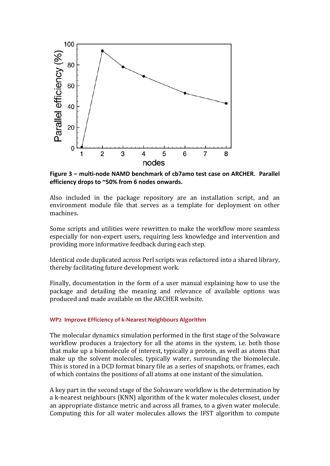

Figure 3 – multi-node NAMD benchmark of cb7amo test case on ARCHER. Parallel efficiency drops to ~50% from 6 nodes onwards.

Also included in the package repository are an installation script, and an environment module file that serves as a template for deployment on other machines. 

Some scripts and utilities were rewritten to make the workflow more seamless especially for non-expert users, requiring less knowledge and intervention and providing more informative feedback during each step.

Identical code duplicated across Perl scripts was refactored into a shared library, thereby facilitating future development work.

Finally, documentation in the form of a user manual explaining how to use the package and detailing the meaning and relevance of available options was produced and made available on the ARCHER website.

#### **WP2 Improve Efficiency of k-Nearest Neighbours Algorithm**

The molecular dynamics simulation performed in the first stage of the Solvaware workflow produces a trajectory for all the atoms in the system, i.e. both those that make up a biomolecule of interest, typically a protein, as well as atoms that make up the solvent molecules, typically water, surrounding the biomolecule. This is stored in a DCD format binary file as a series of snapshots, or frames, each of which contains the positions of all atoms at one instant of the simulation.

A key part in the second stage of the Solvaware workflow is the determination by a k-nearest neighbours (KNN) algorithm of the k water molecules closest, under an appropriate distance metric and across all frames, to a given water molecule. Computing this for all water molecules allows the IFST algorithm to compute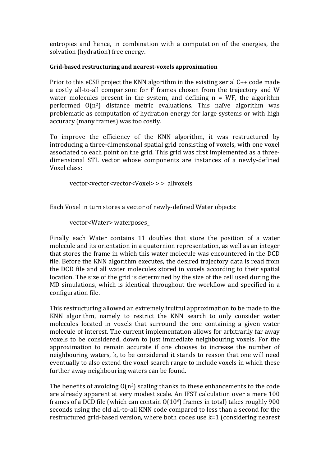entropies and hence, in combination with a computation of the energies, the solvation (hydration) free energy.

## **Grid-based restructuring and nearest-voxels approximation**

Prior to this eCSE project the KNN algorithm in the existing serial  $C_{++}$  code made a costly all-to-all comparison: for F frames chosen from the trajectory and W water molecules present in the system, and defining  $n = WF$ , the algorithm performed  $O(n^2)$  distance metric evaluations. This naïve algorithm was problematic as computation of hydration energy for large systems or with high accuracy (many frames) was too costly.

To improve the efficiency of the KNN algorithm, it was restructured by introducing a three-dimensional spatial grid consisting of voxels, with one voxel associated to each point on the grid. This grid was first implemented as a threedimensional STL vector whose components are instances of a newly-defined Voxel class:

vector<vector<vector<Voxel> > > allvoxels

Each Voxel in turn stores a vector of newly-defined Water objects:

vector<Water> waterposes\_

Finally each Water contains 11 doubles that store the position of a water molecule and its orientation in a quaternion representation, as well as an integer that stores the frame in which this water molecule was encountered in the DCD file. Before the KNN algorithm executes, the desired trajectory data is read from the DCD file and all water molecules stored in voxels according to their spatial location. The size of the grid is determined by the size of the cell used during the MD simulations, which is identical throughout the workflow and specified in a configuration file.

This restructuring allowed an extremely fruitful approximation to be made to the KNN algorithm, namely to restrict the KNN search to only consider water molecules located in voxels that surround the one containing a given water molecule of interest. The current implementation allows for arbitrarily far away voxels to be considered, down to just immediate neighbouring voxels. For the approximation to remain accurate if one chooses to increase the number of neighbouring waters, k, to be considered it stands to reason that one will need eventually to also extend the voxel search range to include voxels in which these further away neighbouring waters can be found.

The benefits of avoiding  $O(n^2)$  scaling thanks to these enhancements to the code are already apparent at very modest scale. An IFST calculation over a mere 100 frames of a DCD file (which can contain  $O(10^6)$  frames in total) takes roughly 900 seconds using the old all-to-all KNN code compared to less than a second for the restructured grid-based version, where both codes use k=1 (considering nearest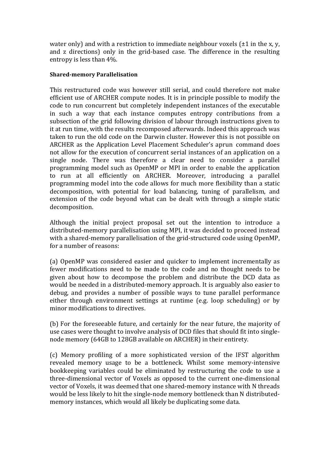water only) and with a restriction to immediate neighbour voxels  $(\pm 1)$  in the x, y, and z directions) only in the grid-based case. The difference in the resulting entropy is less than  $4\%$ .

## **Shared-memory Parallelisation**

This restructured code was however still serial, and could therefore not make efficient use of ARCHER compute nodes. It is in principle possible to modify the code to run concurrent but completely independent instances of the executable in such a way that each instance computes entropy contributions from a subsection of the grid following division of labour through instructions given to it at run time, with the results recomposed afterwards. Indeed this approach was taken to run the old code on the Darwin cluster. However this is not possible on ARCHER as the Application Level Placement Scheduler's aprun command does not allow for the execution of concurrent serial instances of an application on a single node. There was therefore a clear need to consider a parallel programming model such as OpenMP or MPI in order to enable the application to run at all efficiently on ARCHER. Moreover, introducing a parallel programming model into the code allows for much more flexibility than a static decomposition, with potential for load balancing, tuning of parallelism, and extension of the code beyond what can be dealt with through a simple static decomposition.

Although the initial project proposal set out the intention to introduce a distributed-memory parallelisation using MPI, it was decided to proceed instead with a shared-memory parallelisation of the grid-structured code using OpenMP, for a number of reasons:

(a) OpenMP was considered easier and quicker to implement incrementally as fewer modifications need to be made to the code and no thought needs to be given about how to decompose the problem and distribute the DCD data as would be needed in a distributed-memory approach. It is arguably also easier to debug, and provides a number of possible ways to tune parallel performance either through environment settings at runtime (e.g. loop scheduling) or by minor modifications to directives.

(b) For the foreseeable future, and certainly for the near future, the majority of use cases were thought to involve analysis of DCD files that should fit into singlenode memory (64GB to 128GB available on ARCHER) in their entirety.

(c) Memory profiling of a more sophisticated version of the IFST algorithm revealed memory usage to be a bottleneck. Whilst some memory-intensive bookkeeping variables could be eliminated by restructuring the code to use a three-dimensional vector of Voxels as opposed to the current one-dimensional vector of Voxels, it was deemed that one shared-memory instance with N threads would be less likely to hit the single-node memory bottleneck than N distributedmemory instances, which would all likely be duplicating some data.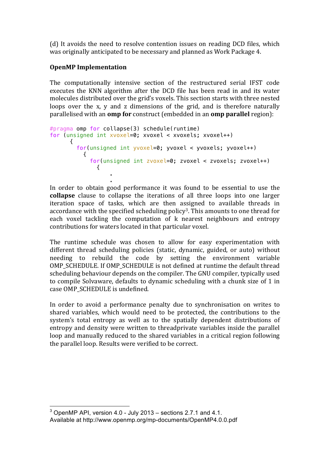(d) It avoids the need to resolve contention issues on reading DCD files, which was originally anticipated to be necessary and planned as Work Package 4.

## **OpenMP** Implementation

.

The computationally intensive section of the restructured serial IFST code executes the KNN algorithm after the DCD file has been read in and its water molecules distributed over the grid's voxels. This section starts with three nested loops over the x, y and z dimensions of the grid, and is therefore naturally parallelised with an **omp for** construct (embedded in an **omp parallel** region):

```
#pragma omp for collapse(3) schedule(runtime)
for (unsigned int xvoxel=0; xvoxel < xvoxels; xvoxel++)
      {
        for(unsigned int yvoxel=0; yvoxel < yvoxels; yvoxel++)
 {
           for(unsigned int zvoxel=0; zvoxel < zvoxels; zvoxel++)
\{.
```
In order to obtain good performance it was found to be essential to use the **collapse** clause to collapse the iterations of all three loops into one larger iteration space of tasks, which are then assigned to available threads in accordance with the specified scheduling policy<sup>3</sup>. This amounts to one thread for each voxel tackling the computation of k nearest neighbours and entropy contributions for waters located in that particular voxel.

The runtime schedule was chosen to allow for easy experimentation with different thread scheduling policies (static, dynamic, guided, or auto) without needing to rebuild the code by setting the environment variable OMP\_SCHEDULE. If OMP\_SCHEDULE is not defined at runtime the default thread scheduling behaviour depends on the compiler. The GNU compiler, typically used to compile Solvaware, defaults to dynamic scheduling with a chunk size of 1 in case OMP\_SCHEDULE is undefined.

In order to avoid a performance penalty due to synchronisation on writes to shared variables, which would need to be protected, the contributions to the system's total entropy as well as to the spatially dependent distributions of entropy and density were written to threadprivate variables inside the parallel loop and manually reduced to the shared variables in a critical region following the parallel loop. Results were verified to be correct.

 

 $3$  OpenMP API, version 4.0 - July 2013 – sections 2.7.1 and 4.1. Available at http://www.openmp.org/mp-documents/OpenMP4.0.0.pdf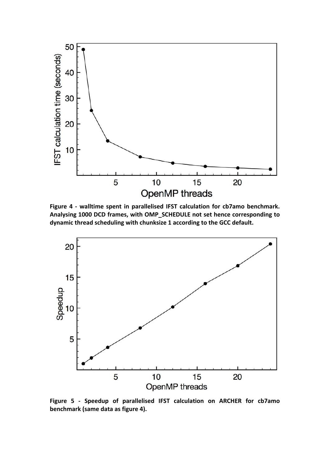

Figure 4 - walltime spent in parallelised IFST calculation for cb7amo benchmark. Analysing 1000 DCD frames, with OMP\_SCHEDULE not set hence corresponding to dynamic thread scheduling with chunksize 1 according to the GCC default.



**Figure 5 - Speedup of parallelised IFST calculation on ARCHER for cb7amo**  benchmark (same data as figure 4).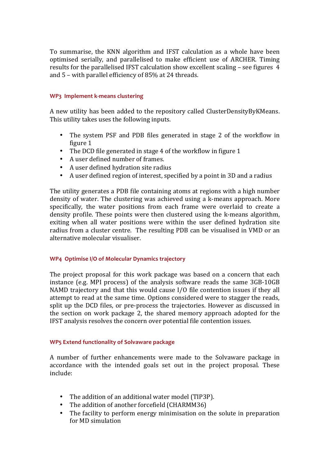To summarise, the KNN algorithm and IFST calculation as a whole have been optimised serially, and parallelised to make efficient use of ARCHER. Timing results for the parallelised IFST calculation show excellent scaling  $-$  see figures  $4$ and  $5$  – with parallel efficiency of 85% at 24 threads.

## **WP3 Implement k-means clustering**

A new utility has been added to the repository called ClusterDensityByKMeans. This utility takes uses the following inputs.

- The system PSF and PDB files generated in stage 2 of the workflow in figure 1
- The DCD file generated in stage 4 of the workflow in figure 1
- A user defined number of frames.
- A user defined hydration site radius
- A user defined region of interest, specified by a point in 3D and a radius

The utility generates a PDB file containing atoms at regions with a high number density of water. The clustering was achieved using a k-means approach. More specifically, the water positions from each frame were overlaid to create a density profile. These points were then clustered using the k-means algorithm, exiting when all water positions were within the user defined hydration site radius from a cluster centre. The resulting PDB can be visualised in VMD or an alternative molecular visualiser.

## **WP4 Optimise I/O of Molecular Dynamics trajectory**

The project proposal for this work package was based on a concern that each instance (e.g. MPI process) of the analysis software reads the same  $3GB-10GB$ NAMD trajectory and that this would cause  $I/O$  file contention issues if they all attempt to read at the same time. Options considered were to stagger the reads, split up the DCD files, or pre-process the trajectories. However as discussed in the section on work package 2, the shared memory approach adopted for the IFST analysis resolves the concern over potential file contention issues.

## **WP5** Extend functionality of Solvaware package

A number of further enhancements were made to the Solvaware package in accordance with the intended goals set out in the project proposal. These include:

- The addition of an additional water model (TIP3P).
- The addition of another forcefield (CHARMM36)
- The facility to perform energy minimisation on the solute in preparation for MD simulation